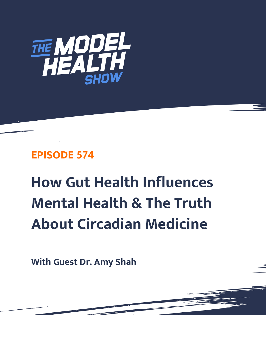

# **EPISODE 574**

# **How Gut Health Influences Mental Health & The Truth About Circadian Medicine**

**With Guest Dr. Amy Shah**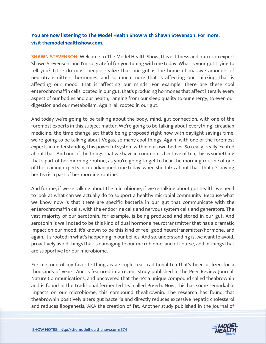# **You are now listening to The Model Health Show with Shawn Stevenson. For more, visit themodelhealthshow.com.**

**SHAWN STEVENSON:** Welcome to The Model Health Show, this is fitness and nutrition expert Shawn Stevenson, and I'm so grateful for you tuning with me today. What is your gut trying to tell you? Little do most people realize that our gut is the home of massive amounts of neurotransmitters, hormones, and so much more that is affecting our thinking, that is affecting our mood, that is affecting our minds. For example, there are these cool enterochromaffin cells located in our gut, that's producing hormones that affect literally every aspect of our bodies and our health, ranging from our sleep quality to our energy, to even our digestion and our metabolism. Again, all rooted in our gut.

And today we're going to be talking about the body, mind, gut connection, with one of the foremost experts in this subject matter. We're going to be talking about everything, circadian medicine, the time change act that's being proposed right now with daylight savings time, we're going to be talking about Vegas, so many cool things. Again, with one of the foremost experts in understanding this powerful system within our own bodies. So really, really excited about that. And one of the things that we have in common is her love of tea, this is something that's part of her morning routine, as you're going to get to hear the morning routine of one of the leading experts in circadian medicine today, when she talks about that, that it's having her tea is a part of her morning routine.

And for me, if we're talking about the microbiome, if we're talking about gut health, we need to look at what can we actually do to support a healthy microbial community. Because what we know now is that there are specific bacteria in our gut that communicate with the enterochromaffin cells, with the endocrine cells and nervous system cells and generators. The vast majority of our serotonin, for example, is being produced and stored in our gut. And serotonin is well noted to be this kind of dual hormone neurotransmitter that has a dramatic impact on our mood, it's known to be this kind of feel-good neurotransmitter/hormone, and again, it's rooted in what's happening in our bellies. And so, understanding is, we want to avoid, proactively avoid things that is damaging to our microbiome, and of course, add in things that are supportive for our microbiome.

For me, one of my favorite things is a simple tea, traditional tea that's been utilized for a thousands of years. And is featured in a recent study published in the Peer Review Journal, Nature Communications, and uncovered that there's a unique compound called theabrownin and is found in the traditional fermented tea called Pu-erh. Now, this has some remarkable impacts on our microbiome, this compound theabrownin. The research has found that theabrownin positively alters gut bacteria and directly reduces excessive hepatic cholesterol [and reduces lipogenesis, AKA the creation of fat. Another study published in the Journal of](https://themodelhealthshow.com/gut-health/) 

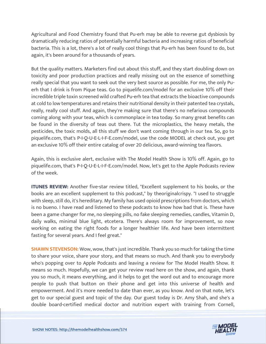Agricultural and Food Chemistry found that Pu-erh may be able to reverse gut dysbiosis by dramatically reducing ratios of potentially harmful bacteria and increasing ratios of beneficial bacteria. This is a lot, there's a lot of really cool things that Pu-erh has been found to do, but again, it's been around for a thousands of years.

But the quality matters. Marketers find out about this stuff, and they start doubling down on toxicity and poor production practices and really missing out on the essence of something really special that you want to seek out the very best source as possible. For me, the only Puerh that I drink is from Pique teas. Go to piquelife.com/model for an exclusive 10% off their incredible triple toxin screened wild crafted Pu-erh tea that extracts the bioactive compounds at cold to low temperatures and retains their nutritional density in their patented tea crystals, really, really cool stuff. And again, they're making sure that there's no nefarious compounds coming along with your teas, which is commonplace in tea today. So many great benefits can be found in the diversity of teas out there. Tut the microplastics, the heavy metals, the pesticides, the toxic molds, all this stuff we don't want coming through in our tea. So, go to piquelife.com, that's P-I-Q-U-E-L-I-F-E.com/model, use the code MODEL at check out, you get an exclusive 10% off their entire catalog of over 20 delicious, award-winning tea flavors.

Again, this is exclusive alert, exclusive with The Model Health Show is 10% off. Again, go to piquelife.com, that's P-I-Q-U-E-L-I-F-E.com/model. Now, let's get to the Apple Podcasts review of the week.

**ITUNES REVIEW:** Another five-star review titled, "Excellent supplement to his books, or the books are an excellent supplement to this podcast," by theoriginalcrispy. "I used to struggle with sleep, still do, it's hereditary. My family has used opioid prescriptions from doctors, which is no bueno. I have read and listened to these podcasts to know how bad that is. These have been a game changer for me, no sleeping pills, no fake sleeping remedies, candles, Vitamin D, daily walks, minimal blue light, etcetera. There's always room for improvement, so now working on eating the right foods for a longer healthier life. And have been intermittent fasting for several years. And I feel great."

**SHAWN STEVENSON:** Wow, wow, that's just incredible. Thank you so much for taking the time to share your voice, share your story, and that means so much. And thank you to everybody who's popping over to Apple Podcasts and leaving a review for The Model Health Show. It means so much. Hopefully, we can get your review read here on the show, and again, thank you so much, it means everything, and it helps to get the word out and to encourage more people to push that button on their phone and get into this universe of health and empowerment. And it's more needed to date than ever, as you know. And on that note, let's get to our special guest and topic of the day. Our guest today is Dr. Amy Shah, and she's a double board-certified medical doctor and nutrition expert with training from Cornell,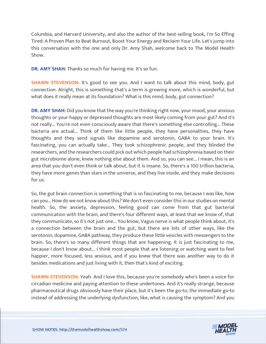Columbia, and Harvard University, and also the author of the best-selling book, I'm So Effing Tired: A Proven Plan to Beat Burnout, Boost Your Energy and Reclaim Your Life. Let's jump into this conversation with the one and only Dr. Amy Shah, welcome back to The Model Health Show.

**DR. AMY SHAH:** Thanks so much for having me. It's so fun.

**SHAWN STEVENSON:** It's good to see you. And I want to talk about this mind, body, gut connection. Alright, this is something that's a term is growing more, which is wonderful, but what does it really mean at its foundation? What is this mind, body, gut connection?

**DR. AMY SHAH:** Did you know that the way you're thinking right now, your mood, your anxious thoughts or your happy or depressed thoughts are most likely coming from your gut? And it's not really... You're not even consciously aware that there's something else controlling... These bacteria are actual... Think of them like little people, they have personalities, they have thoughts and they send signals like dopamine and serotonin, GABA to your brain. It's fascinating, you can actually take... They took schizophrenic people, and they blinded the researchers, and the researchers could pick out which people had schizophrenia based on their gut microbiome alone, knew nothing else about them. And so, you can see... I mean, this is an area that you don't even think or talk about, but it is insane. So, there's a 100 trillion bacteria, they have more genes than stars in the universe, and they live inside, and they make decisions for us.

So, the gut brain connection is something that is so fascinating to me, because I was like, how can you... How do we not know about this? We don't even consider this in our studies on mental health. So, the anxiety, depression, feeling good can come from that gut bacterial communication with the brain, and there's four different ways, at least that we know of, that they communicate, so it's not just one... You know, Vagus nerve is what people think about, it's a connection between the brain and the gut, but there are lots of other ways, like the serotonin, dopamine, GABA pathway, they produce these little vesicles with messengers to the brain. So, there's so many different things that are happening. It is just fascinating to me, because I don't know about... I think most people that are listening or watching want to feel happier, more focused, less anxious, and if you knew that there was another way to do it besides medications and just living with it, then that's kind of exciting.

**SHAWN STEVENSON:** Yeah. And I love this, because you're somebody who's been a voice for circadian medicine and paying attention to these undertones. And it's really strange, because pharmaceutical drugs obviously have their place, but it's been the go-to, the immediate go-to instead of addressing the underlying dysfunction, like, what is causing the symptom? And you

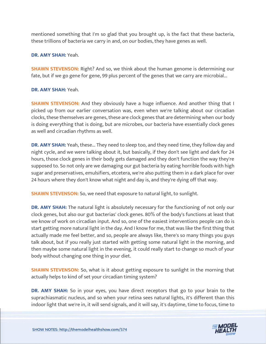mentioned something that I'm so glad that you brought up, is the fact that these bacteria, these trillions of bacteria we carry in and, on our bodies, they have genes as well.

#### **DR. AMY SHAH:** Yeah.

**SHAWN STEVENSON:** Right? And so, we think about the human genome is determining our fate, but if we go gene for gene, 99 plus percent of the genes that we carry are microbial...

#### **DR. AMY SHAH:** Yeah.

**SHAWN STEVENSON:** And they obviously have a huge influence. And another thing that I picked up from our earlier conversation was, even when we're talking about our circadian clocks, these themselves are genes, these are clock genes that are determining when our body is doing everything that is doing, but are microbes, our bacteria have essentially clock genes as well and circadian rhythms as well.

**DR. AMY SHAH:** Yeah, these... They need to sleep too, and they need time, they follow day and night cycle, and we were talking about it, but basically, if they don't see light and dark for 24 hours, those clock genes in their body gets damaged and they don't function the way they're supposed to. So not only are we damaging our gut bacteria by eating horrible foods with high sugar and preservatives, emulsifiers, etcetera, we're also putting them in a dark place for over 24 hours where they don't know what night and day is, and they're dying off that way.

**SHAWN STEVENSON:** So, we need that exposure to natural light, to sunlight.

**DR. AMY SHAH:** The natural light is absolutely necessary for the functioning of not only our clock genes, but also our gut bacterias' clock genes. 80% of the body's functions at least that we know of work on circadian input. And so, one of the easiest interventions people can do is start getting more natural light in the day. And I know for me, that was like the first thing that actually made me feel better, and so, people are always like, there's so many things you guys talk about, but if you really just started with getting some natural light in the morning, and then maybe some natural light in the evening, it could really start to change so much of your body without changing one thing in your diet.

**SHAWN STEVENSON:** So, what is it about getting exposure to sunlight in the morning that actually helps to kind of set your circadian timing system?

**DR. AMY SHAH:** So in your eyes, you have direct receptors that go to your brain to the suprachiasmatic nucleus, and so when your retina sees natural lights, it's different than this indoor light that we're in, it will send signals, and it will say, it's daytime, time to focus, time to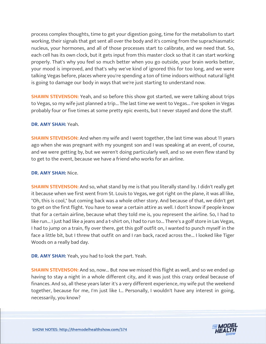process complex thoughts, time to get your digestion going, time for the metabolism to start working, their signals that get sent all over the body and it's coming from the suprachiasmatic nucleus, your hormones, and all of those processes start to calibrate, and we need that. So, each cell has its own clock, but it gets input from this master clock so that it can start working properly. That's why you feel so much better when you go outside, your brain works better, your mood is improved, and that's why we've kind of ignored this for too long, and we were talking Vegas before, places where you're spending a ton of time indoors without natural light is going to damage our body in ways that we're just starting to understand now.

**SHAWN STEVENSON:** Yeah, and so before this show got started, we were talking about trips to Vegas, so my wife just planned a trip... The last time we went to Vegas... I've spoken in Vegas probably four or five times at some pretty epic events, but I never stayed and done the stuff.

# **DR. AMY SHAH:** Yeah.

**SHAWN STEVENSON:** And when my wife and I went together, the last time was about 11 years ago when she was pregnant with my youngest son and I was speaking at an event, of course, and we were getting by, but we weren't doing particularly well, and so we even flew stand by to get to the event, because we have a friend who works for an airline.

#### **DR. AMY SHAH:** Nice.

**SHAWN STEVENSON:** And so, what stand by me is that you literally stand by. I didn't really get it because when we first went from St. Louis to Vegas, we got right on the plane, it was all like, "Oh, this is cool," but coming back was a whole other story. And because of that, we didn't get to get on the first flight. You have to wear a certain attire as well. I don't know if people know that for a certain airline, because what they told me is, you represent the airline. So, I had to like run... I just had like a jeans and a t-shirt on, I had to run to... There's a golf store in Las Vegas, I had to jump on a train, fly over there, get this golf outfit on, I wanted to punch myself in the face a little bit, but I threw that outfit on and I ran back, raced across the... I looked like Tiger Woods on a really bad day.

**DR. AMY SHAH:** Yeah, you had to look the part. Yeah.

**SHAWN STEVENSON:** And so, now... But now we missed this flight as well, and so we ended up having to stay a night in a whole different city, and it was just this crazy ordeal because of finances. And so, all these years later it's a very different experience, my wife put the weekend together, because for me, I'm just like I... Personally, I wouldn't have any interest in going, necessarily, you know?

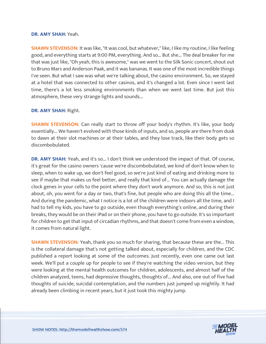#### **DR. AMY SHAH:** Yeah.

**SHAWN STEVENSON:** It was like, "It was cool, but whatever," like, I like my routine, I like feeling good, and everything starts at 9:00 PM, everything. And so... But she... The deal breaker for me that was just like, "Oh yeah, this is awesome," was we went to the Silk Sonic concert, shout out to Bruno Mars and Anderson Paak, and it was bananas. It was one of the most incredible things I've seen. But what I saw was what we're talking about, the casino environment. So, we stayed at a hotel that was connected to other casinos, and it's changed a lot. Even since I went last time, there's a lot less smoking environments than when we went last time. But just this atmosphere, these very strange lights and sounds...

#### **DR. AMY SHAH:** Right.

**SHAWN STEVENSON:** Can really start to throw off your body's rhythm. It's like, your body essentially... We haven't evolved with those kinds of inputs, and so, people are there from dusk to dawn at their slot machines or at their tables, and they lose track, like their body gets so discombobulated.

**DR. AMY SHAH:** Yeah, and it's so... I don't think we understood the impact of that. Of course, it's great for the casino owners 'cause we're discombobulated, we kind of don't know when to sleep, when to wake up, we don't feel good, so we're just kind of eating and drinking more to see if maybe that makes us feel better, and really that kind of... You can actually damage the clock genes in your cells to the point where they don't work anymore. And so, this is not just about, oh, you went for a day or two, that's fine, but people who are doing this all the time... And during the pandemic, what I notice is a lot of the children were indoors all the time, and I had to tell my kids, you have to go outside, even though everything's online, and during their breaks, they would be on their iPad or on their phone, you have to go outside. It's so important for children to get that input of circadian rhythms, and that doesn't come from even a window, it comes from natural light.

**SHAWN STEVENSON:** Yeah, thank you so much for sharing, that because these are the... This is the collateral damage that's not getting talked about, especially for children, and the CDC published a report looking at some of the outcomes. Just recently, even one came out last week. We'll put a couple up for people to see if they're watching the video version, but they were looking at the mental health outcomes for children, adolescents, and almost half of the children analyzed, teens, had depressive thoughts, thoughts of... And also, one out of five had thoughts of suicide, suicidal contemplation, and the numbers just jumped up mightily. It had already been climbing in recent years, but it just took this mighty jump.

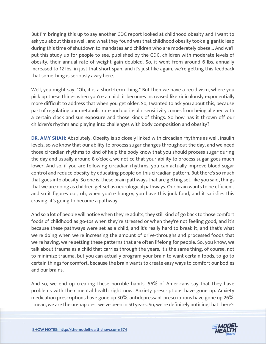But I'm bringing this up to say another CDC report looked at childhood obesity and I want to ask you about this as well, and what they found was that childhood obesity took a gigantic leap during this time of shutdown to mandates and children who are moderately obese... And we'll put this study up for people to see, published by the CDC, children with moderate levels of obesity, their annual rate of weight gain doubled. So, it went from around 6 lbs. annually increased to 12 lbs. in just that short span, and it's just like again, we're getting this feedback that something is seriously awry here.

Well, you might say, "Oh, it is a short-term thing." But then we have a recidivism, where you pick up these things when you're a child, it becomes increased like ridiculously exponentially more difficult to address that when you get older. So, I wanted to ask you about this, because part of regulating our metabolic rate and our insulin sensitivity comes from being aligned with a certain clock and sun exposure and those kinds of things. So how has it thrown off our children's rhythm and playing into challenges with body composition and obesity?

**DR. AMY SHAH:** Absolutely. Obesity is so closely linked with circadian rhythms as well, insulin levels, so we know that our ability to process sugar changes throughout the day, and we need those circadian rhythms to kind of help the body know that you should process sugar during the day and usually around 8 o'clock, we notice that your ability to process sugar goes much lower. And so, if you are following circadian rhythms, you can actually improve blood sugar control and reduce obesity by educating people on this circadian pattern. But there's so much that goes into obesity. So one is, these brain pathways that are getting set, like you said, things that we are doing as children get set as neurological pathways. Our brain wants to be efficient, and so it figures out, oh, when you're hungry, you have this junk food, and it satisfies this craving, it's going to become a pathway.

And so a lot of people will notice when they're adults, they still kind of go back to those comfort foods of childhood as go-tos when they're stressed or when they're not feeling good, and it's because these pathways were set as a child, and it's really hard to break it, and that's what we're doing when we're increasing the amount of drive-throughs and processed foods that we're having, we're setting these patterns that are often lifelong for people. So, you know, we talk about trauma as a child that carries through the years, it's the same thing, of course, not to minimize trauma, but you can actually program your brain to want certain foods, to go to certain things for comfort, because the brain wants to create easy ways to comfort our bodies and our brains.

And so, we end up creating these horrible habits. 56% of Americans say that they have problems with their mental health right now. Anxiety prescriptions have gone up. Anxiety medication prescriptions have gone up 30%, antidepressant prescriptions have gone up 26%. I mean, we are the un-happiest we've been in 50 years. So, we're definitely noticing that there's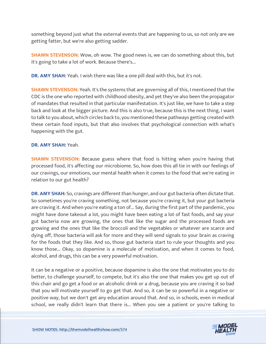something beyond just what the external events that are happening to us, so not only are we getting fatter, but we're also getting sadder.

**SHAWN STEVENSON:** Wow, oh wow. The good news is, we can do something about this, but it's going to take a lot of work. Because there's...

**DR. AMY SHAH:** Yeah. I wish there was like a one pill deal with this, but it's not.

**SHAWN STEVENSON:** Yeah. It's the systems that are governing all of this, I mentioned that the CDC is the one who reported with childhood obesity, and yet they've also been the propagator of mandates that resulted in that particular manifestation. It's just like, we have to take a step back and look at the bigger picture. And this is also true, because this is the next thing, I want to talk to you about, which circles back to, you mentioned these pathways getting created with these certain food inputs, but that also involves that psychological connection with what's happening with the gut.

#### **DR. AMY SHAH:** Yeah.

**SHAWN STEVENSON:** Because guess where that food is hitting when you're having that processed food, it's affecting our microbiome. So, how does this all tie in with our feelings of our cravings, our emotions, our mental health when it comes to the food that we're eating in relation to our gut health?

**DR. AMY SHAH:** So, cravings are different than hunger, and our gut bacteria often dictate that. So sometimes you're craving something, not because you're craving it, but your gut bacteria are craving it. And when you're eating a ton of... Say, during the first part of the pandemic, you might have done takeout a lot, you might have been eating a lot of fast foods, and say your gut bacteria now are growing, the ones that like the sugar and the processed foods are growing and the ones that like the broccoli and the vegetables or whatever are scarce and dying off, those bacteria will ask for more and they will send signals to your brain as craving for the foods that they like. And so, those gut bacteria start to rule your thoughts and you know those... Okay, so dopamine is a molecule of motivation, and when it comes to food, alcohol, and drugs, this can be a very powerful motivation.

It can be a negative or a positive, because dopamine is also the one that motivates you to do better, to challenge yourself, to compete, but it's also the one that makes you get up out of this chair and go get a food or an alcoholic drink or a drug, because you are craving it so bad that you will motivate yourself to go get that. And so, it can be so powerful in a negative or positive way, but we don't get any education around that. And so, in schools, even in medical school, we really didn't learn that there is... When you see a patient or you're talking to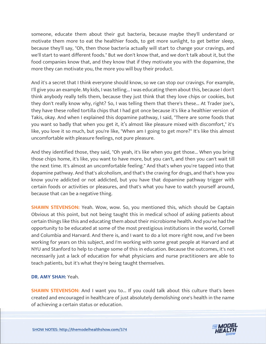someone, educate them about their gut bacteria, because maybe they'll understand or motivate them more to eat the healthier foods, to get more sunlight, to get better sleep, because they'll say, "Oh, then those bacteria actually will start to change your cravings, and we'll start to want different foods." But we don't know that, and we don't talk about it, but the food companies know that, and they know that if they motivate you with the dopamine, the more they can motivate you, the more you will buy their product.

And it's a secret that I think everyone should know, so we can stop our cravings. For example, I'll give you an example. My kids, I was telling... I was educating them about this, because I don't think anybody really tells them, because they just think that they love chips or cookies, but they don't really know why, right? So, I was telling them that there's these... At Trader Joe's, they have these rolled tortilla chips that I had got once because it's like a healthier version of Takis, okay. And when I explained this dopamine pathway, I said, "There are some foods that you want so badly that when you get it, it's almost like pleasure mixed with discomfort," it's like, you love it so much, but you're like, "When am I going to get more?" It's like this almost uncomfortable with pleasure feelings, not pure pleasure.

And they identified those, they said, "Oh yeah, it's like when you get those... When you bring those chips home, it's like, you want to have more, but you can't, and then you can't wait till the next time. It's almost an uncomfortable feeling." And that's when you're tapped into that dopamine pathway. And that's alcoholism, and that's the craving for drugs, and that's how you know you're addicted or not addicted, but you have that dopamine pathway trigger with certain foods or activities or pleasures, and that's what you have to watch yourself around, because that can be a negative thing.

**SHAWN STEVENSON:** Yeah. Wow, wow. So, you mentioned this, which should be Captain Obvious at this point, but not being taught this in medical school of asking patients about certain things like this and educating them about their microbiome health. And you've had the opportunity to be educated at some of the most prestigious institutions in the world, Cornell and Columbia and Harvard. And there is, and I want to do a lot more right now, and I've been working for years on this subject, and I'm working with some great people at Harvard and at NYU and Stanford to help to change some of this in education. Because the outcomes, it's not necessarily just a lack of education for what physicians and nurse practitioners are able to teach patients, but it's what they're being taught themselves.

# **DR. AMY SHAH:** Yeah.

**SHAWN STEVENSON:** And I want you to... If you could talk about this culture that's been created and encouraged in healthcare of just absolutely demolishing one's health in the name of achieving a certain status or education.

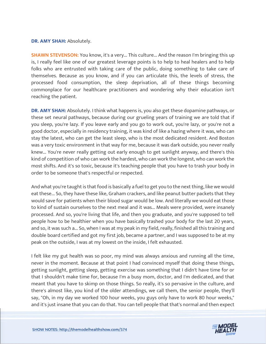#### **DR. AMY SHAH:** Absolutely.

**SHAWN STEVENSON:** You know, it's a very... This culture... And the reason I'm bringing this up is, I really feel like one of our greatest leverage points is to help to heal healers and to help folks who are entrusted with taking care of the public, doing something to take care of themselves. Because as you know, and if you can articulate this, the levels of stress, the processed food consumption, the sleep deprivation, all of these things becoming commonplace for our healthcare practitioners and wondering why their education isn't reaching the patient.

**DR. AMY SHAH:** Absolutely. I think what happens is, you also get these dopamine pathways, or these set neural pathways, because during our grueling years of training we are told that if you sleep, you're lazy. If you leave early and you go to work out, you're lazy, or you're not a good doctor, especially in residency training, it was kind of like a hazing where it was, who can stay the latest, who can get the least sleep, who is the most dedicated resident. And Boston was a very toxic environment in that way for me, because it was dark outside, you never really knew... You're never really getting out early enough to get sunlight anyway, and there's this kind of competition of who can work the hardest, who can work the longest, who can work the most shifts. And it's so toxic, because it's teaching people that you have to trash your body in order to be someone that's respectful or respected.

And what you're taught is that food is basically a fuel to get you to the next thing, like we would eat these... So, they have these like, Graham crackers, and like peanut butter packets that they would save for patients when their blood sugar would be low. And literally we would eat those to kind of sustain ourselves to the next meal and it was... Meals were provided, were insanely processed. And so, you're living that life, and then you graduate, and you're supposed to tell people how to be healthier when you have basically trashed your body for the last 20 years, and so, it was such a... So, when I was at my peak in my field, really, finished all this training and double board certified and got my first job, became a partner, and I was supposed to be at my peak on the outside, I was at my lowest on the inside, I felt exhausted.

I felt like my gut health was so poor, my mind was always anxious and running all the time, never in the moment. Because at that point I had convinced myself that doing these things, getting sunlight, getting sleep, getting exercise was something that I didn't have time for or that I shouldn't make time for, because I'm a busy mom, doctor, and I'm dedicated, and that meant that you have to skimp on those things. So really, it's so pervasive in the culture, and there's almost like, you kind of the older attendings, we call them, the senior people, they'll say, "Oh, in my day we worked 100 hour weeks, you guys only have to work 80 hour weeks," and it's just insane that you can do that. You can tell people that that's normal and then expect

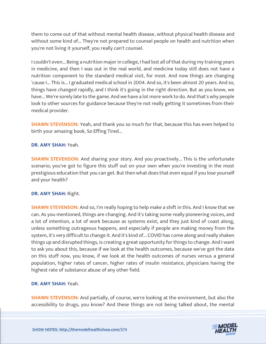them to come out of that without mental health disease, without physical health disease and without some kind of... They're not prepared to counsel people on health and nutrition when you're not living it yourself, you really can't counsel.

I couldn't even... Being a nutrition major in college, I had lost all of that during my training years in medicine, and then I was out in the real world, and medicine today still does not have a nutrition component to the standard medical visit, for most. And now things are changing 'cause I... This is... I graduated medical school in 2004. And so, it's been almost 20 years. And so, things have changed rapidly, and I think it's going in the right direction. But as you know, we have... We're sorely late to the game. And we have a lot more work to do. And that's why people look to other sources for guidance because they're not really getting it sometimes from their medical provider.

**SHAWN STEVENSON:** Yeah, and thank you so much for that, because this has even helped to birth your amazing book, So Effing Tired...

# **DR. AMY SHAH:** Yeah.

**SHAWN STEVENSON:** And sharing your story. And you proactively... This is the unfortunate scenario; you've got to figure this stuff out on your own when you're investing in the most prestigious education that you can get. But then what does that even equal if you lose yourself and your health?

# **DR. AMY SHAH:** Right.

**SHAWN STEVENSON:** And so, I'm really hoping to help make a shift in this. And I know that we can. As you mentioned, things are changing. And it's taking some really pioneering voices, and a lot of intention, a lot of work because as systems exist, and they just kind of coast along, unless something outrageous happens, and especially if people are making money from the system, it's very difficult to change it. And it's kind of... COVID has come along and really shaken things up and disrupted things, is creating a great opportunity for things to change. And I want to ask you about this, because if we look at the health outcomes, because we've got the data on this stuff now, you know, if we look at the health outcomes of nurses versus a general population, higher rates of cancer, higher rates of insulin resistance, physicians having the highest rate of substance abuse of any other field.

# **DR. AMY SHAH:** Yeah.

**SHAWN STEVENSON:** And partially, of course, we're looking at the environment, but also the accessibility to drugs, you know? And these things are not being talked about, the mental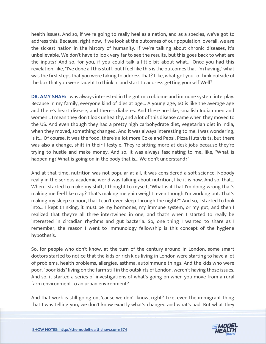health issues. And so, if we're going to really heal as a nation, and as a species, we've got to address this. Because, right now, if we look at the outcomes of our population, overall, we are the sickest nation in the history of humanity. If we're talking about chronic diseases, it's unbelievable. We don't have to look very far to see the results, but this goes back to what are the inputs? And so, for you, if you could talk a little bit about what... Once you had this revelation, like, "I've done all this stuff, but I feel like this is the outcomes that I'm having," what was the first steps that you were taking to address that? Like, what got you to think outside of the box that you were taught to think in and start to address getting yourself Well?

**DR. AMY SHAH:** I was always interested in the gut microbiome and immune system interplay. Because in my family, everyone kind of dies at age... A young age, 60 is like the average age and there's heart disease, and there's diabetes. And these are like, smallish Indian men and women... I mean they don't look unhealthy, and a lot of this disease came when they moved to the US. And even though they had a pretty high carbohydrate diet, vegetarian diet in India, when they moved, something changed. And it was always interesting to me, I was wondering, is it... Of course, it was the food, there's a lot more Coke and Pepsi, Pizza Huts visits, but there was also a change, shift in their lifestyle. They're sitting more at desk jobs because they're trying to hustle and make money. And so, it was always fascinating to me, like, "What is happening? What is going on in the body that is... We don't understand?"

And at that time, nutrition was not popular at all, it was considered a soft science. Nobody really in the serious academic world was talking about nutrition, like it is now. And so, that... When I started to make my shift, I thought to myself, "What is it that I'm doing wrong that's making me feel like crap? That's making me gain weight, even though I'm working out. That's making my sleep so poor, that I can't even sleep through the night?" And so, I started to look into... I kept thinking, it must be my hormones, my immune system, or my gut, and then I realized that they're all three intertwined in one, and that's when I started to really be interested in circadian rhythms and gut bacteria. So, one thing I wanted to share as I remember, the reason I went to immunology fellowship is this concept of the hygiene hypothesis.

So, for people who don't know, at the turn of the century around in London, some smart doctors started to notice that the kids or rich kids living in London were starting to have a lot of problems, health problems, allergies, asthma, autoimmune things. And the kids who were poor, "poor kids" living on the farm still in the outskirts of London, weren't having those issues. And so, it started a series of investigations of what's going on when you move from a rural farm environment to an urban environment?

And that work is still going on, 'cause we don't know, right? Like, even the immigrant thing that I was telling you, we don't know exactly what's changed and what's bad. But what they

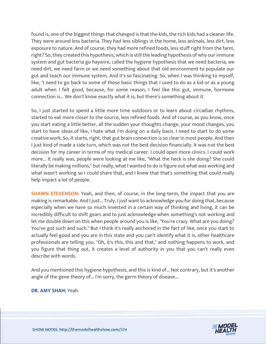found is, one of the biggest things that changed is that the kids, the rich kids had a cleaner life. They were around less bacteria. They had less siblings in the home, less animals, less dirt, less exposure to nature. And of course, they had more refined foods, less stuff right from the farm, right? So, they created this hypothesis, which is still the leading hypothesis of why our immune system and gut bacteria go haywire, called the hygiene hypothesis that we need bacteria, we need dirt, we need farm or we need something about that old environment to populate our gut and teach our immune system. And it's so fascinating. So, when I was thinking to myself, like, "I need to go back to some of those basic things that I used to do as a kid or as a young adult when I felt good, because, for some reason, I feel like this gut, immune, hormone connection is... We don't know exactly what it is, but there's something about it.

So, I just started to spend a little more time outdoors or to learn about circadian rhythms, started to eat more closer to the source, less refined foods. And of course, as you know, once you start eating a little better, all the sudden your thoughts change, your mood changes, you start to have ideas of like, I hate what I'm doing on a daily basis. I need to start to do some creative work. So, it starts, right, that gut brain connection is so clear in most people. And then I just kind of made a side turn, which was not the best decision financially. It was not the best decision for my career in terms of my medical career. I could open more clinics. I could work more... It really was, people were looking at me like, "What the heck is she doing? She could literally be making millions," but really, what I wanted to do is figure out what was working and what wasn't working so I could share that, and I knew that that's something that could really help impact a lot of people.

**SHAWN STEVENSON:** Yeah, and then, of course, in the long-term, the impact that you are making is remarkable. And I just... Truly, I just want to acknowledge you for doing that, because especially when we have so much invested in a certain way of thinking and living, it can be incredibly difficult to shift gears and to just acknowledge when something's not working and let me double down on this when people around you is like, "You're crazy. What are you doing? You've got such and such." But I think it's really anchored in the fact of like, once you start to actually feel good and you are in this state and you can't identify what it is, other healthcare professionals are telling you, "Oh, it's this, this and that," and nothing happens to work, and you figure that thing out, it creates a level of authority in you that you can't really even describe with words.

And you mentioned this hygiene hypothesis, and this is kind of... Not contrary, but it's another angle of the gene theory of... I'm sorry, the germ theory of disease...

**DR. AMY SHAH:** Yeah.

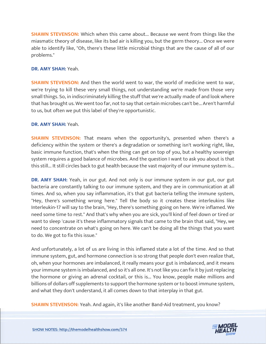**SHAWN STEVENSON:** Which when this came about... Because we went from things like the miasmatic theory of disease, like its bad air is killing you, but the germ theory... Once we were able to identify like, "Oh, there's these little microbial things that are the cause of all of our problems."

#### **DR. AMY SHAH:** Yeah.

**SHAWN STEVENSON:** And then the world went to war, the world of medicine went to war, we're trying to kill these very small things, not understanding we're made from those very small things. So, in indiscriminately killing the stuff that we're actually made of and look where that has brought us. We went too far, not to say that certain microbes can't be... Aren't harmful to us, but often we put this label of they're opportunistic.

#### **DR. AMY SHAH:** Yeah.

**SHAWN STEVENSON:** That means when the opportunity's, presented when there's a deficiency within the system or there's a degradation or something isn't working right, like, basic immune function, that's when the thing can get on top of you, but a healthy sovereign system requires a good balance of microbes. And the question I want to ask you about is that this still... It still circles back to gut health because the vast majority of our immune system is...

**DR. AMY SHAH:** Yeah, in our gut. And not only is our immune system in our gut, our gut bacteria are constantly talking to our immune system, and they are in communication at all times. And so, when you say inflammation, it's that gut bacteria telling the immune system, "Hey, there's something wrong here." Tell the body so it creates these interleukins like Interleukin-17 will say to the brain, "Hey, there's something going on here. We're inflamed. We need some time to rest." And that's why when you are sick, you'll kind of feel down or tired or want to sleep 'cause it's these inflammatory signals that came to the brain that said, "Hey, we need to concentrate on what's going on here. We can't be doing all the things that you want to do. We got to fix this issue."

And unfortunately, a lot of us are living in this inflamed state a lot of the time. And so that immune system, gut, and hormone connection is so strong that people don't even realize that, oh, when your hormones are imbalanced, it really means your gut is imbalanced, and it means your immune system is imbalanced, and so it's all one. It's not like you can fix it by just replacing the hormone or giving an adrenal cocktail, or this is... You know, people make millions and billions of dollars off supplements to support the hormone system or to boost immune system, and what they don't understand, it all comes down to that interplay in that gut.

**SHAWN STEVENSON:** Yeah. And again, it's like another Band-Aid treatment, you know?

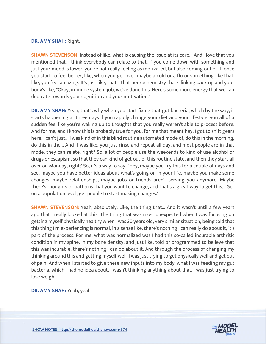#### **DR. AMY SHAH:** Right.

**SHAWN STEVENSON:** Instead of like, what is causing the issue at its core... And I love that you mentioned that. I think everybody can relate to that. If you come down with something and just your mood is lower, you're not really feeling as motivated, but also coming out of it, once you start to feel better, like, when you get over maybe a cold or a flu or something like that, like, you feel amazing. It's just like, that's that neurochemistry that's linking back up and your body's like, "Okay, immune system job, we've done this. Here's some more energy that we can dedicate towards your cognition and your motivation."

**DR. AMY SHAH:** Yeah, that's why when you start fixing that gut bacteria, which by the way, it starts happening at three days if you rapidly change your diet and your lifestyle, you all of a sudden feel like you're waking up to thoughts that you really weren't able to process before. And for me, and I know this is probably true for you, for me that meant hey, I got to shift gears here. I can't just... I was kind of in this blind routine automated mode of, do this in the morning, do this in the... And it was like, you just rinse and repeat all day, and most people are in that mode, they can relate, right? So, a lot of people use the weekends to kind of use alcohol or drugs or escapism, so that they can kind of get out of this routine state, and then they start all over on Monday, right? So, it's a way to say, "Hey, maybe you try this for a couple of days and see, maybe you have better ideas about what's going on in your life, maybe you make some changes, maybe relationships, maybe jobs or friends aren't serving you anymore. Maybe there's thoughts or patterns that you want to change, and that's a great way to get this... Get on a population level, get people to start making changes."

**SHAWN STEVENSON:** Yeah, absolutely. Like, the thing that... And it wasn't until a few years ago that I really looked at this. The thing that was most unexpected when I was focusing on getting myself physically healthy when I was 20 years old, very similar situation, being told that this thing I'm experiencing is normal, in a sense like, there's nothing I can really do about it, it's part of the process. For me, what was normalized was I had this so-called incurable arthritic condition in my spine, in my bone density, and just like, told or programmed to believe that this was incurable, there's nothing I can do about it. And through the process of changing my thinking around this and getting myself well, I was just trying to get physically well and get out of pain. And when I started to give these new inputs into my body, what I was feeding my gut bacteria, which I had no idea about, I wasn't thinking anything about that, I was just trying to lose weight.

**DR. AMY SHAH:** Yeah, yeah.

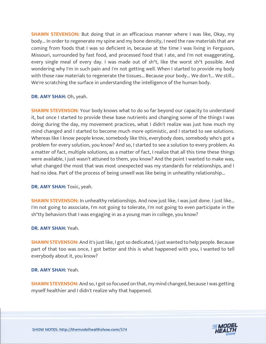**SHAWN STEVENSON:** But doing that in an efficacious manner where I was like, Okay, my body... In order to regenerate my spine and my bone density, I need the raw materials that are coming from foods that I was so deficient in, because at the time I was living in Ferguson, Missouri, surrounded by fast food, and processed food that I ate, and I'm not exaggerating, every single meal of every day. I was made out of sh\*t, like the worst sh\*t possible. And wondering why I'm in such pain and I'm not getting well. When I started to provide my body with those raw materials to regenerate the tissues... Because your body... We don't... We still... We're scratching the surface in understanding the intelligence of the human body.

#### **DR. AMY SHAH:** Oh, yeah.

**SHAWN STEVENSON:** Your body knows what to do so far beyond our capacity to understand it, but once I started to provide these base nutrients and changing some of the things I was doing during the day, my movement practices, what I didn't realize was just how much my mind changed and I started to become much more optimistic, and I started to see solutions. Whereas like I know people know, somebody like this, everybody does, somebody who's got a problem for every solution, you know? And so, I started to see a solution to every problem. As a matter of fact, multiple solutions, as a matter of fact, I realize that all this time these things were available, I just wasn't attuned to them, you know? And the point I wanted to make was, what changed the most that was most unexpected was my standards for relationships, and I had no idea. Part of the process of being unwell was like being in unhealthy relationship...

#### **DR. AMY SHAH:** Toxic, yeah.

**SHAWN STEVENSON:** In unhealthy relationships. And now just like, I was just done. I just like... I'm not going to associate, I'm not going to tolerate, I'm not going to even participate in the sh\*tty behaviors that I was engaging in as a young man in college, you know?

# **DR. AMY SHAH:** Yeah.

**SHAWN STEVENSON:** And it's just like, I got so dedicated, I just wanted to help people. Because part of that too was once, I got better and this is what happened with you, I wanted to tell everybody about it, you know?

#### **DR. AMY SHAH:** Yeah.

**SHAWN STEVENSON:** And so, I got so focused on that, my mind changed, because I was getting myself healthier and I didn't realize why that happened.

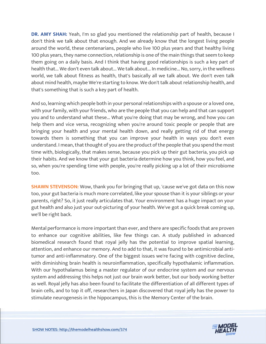**DR. AMY SHAH:** Yeah, I'm so glad you mentioned the relationship part of health, because I don't think we talk about that enough. And we already know that the longest living people around the world, these centenarians, people who live 100 plus years and that healthy living 100 plus years, they name connection, relationship is one of the main things that seem to keep them going on a daily basis. And I think that having good relationships is such a key part of health that... We don't even talk about... We talk about... In medicine... No, sorry, in the wellness world, we talk about fitness as health, that's basically all we talk about. We don't even talk about mind health, maybe We're starting to know. We don't talk about relationship health, and that's something that is such a key part of health.

And so, learning which people both in your personal relationships with a spouse or a loved one, with your family, with your friends, who are the people that you can help and that can support you and to understand what these... What you're doing that may be wrong, and how you can help them and vice versa, recognizing when you're around toxic people or people that are bringing your health and your mental health down, and really getting rid of that energy towards them is something that you can improve your health in ways you don't even understand. I mean, that thought of you are the product of the people that you spend the most time with, biologically, that makes sense, because you pick up their gut bacteria, you pick up their habits. And we know that your gut bacteria determine how you think, how you feel, and so, when you're spending time with people, you're really picking up a lot of their microbiome too.

**SHAWN STEVENSON:** Wow, thank you for bringing that up, 'cause we've got data on this now too, your gut bacteria is much more correlated, like your spouse than it is your siblings or your parents, right? So, it just really articulates that. Your environment has a huge impact on your gut health and also just your out-picturing of your health. We've got a quick break coming up, we'll be right back.

Mental performance is more important than ever, and there are specific foods that are proven to enhance our cognitive abilities, like few things can. A study published in advanced biomedical research found that royal jelly has the potential to improve spatial learning, attention, and enhance our memory. And to add to that, it was found to be antimicrobial antitumor and anti-inflammatory. One of the biggest issues we're facing with cognitive decline, with diminishing brain health is neuroinflammation, specifically hypothalamic inflammation. With our hypothalamus being a master regulator of our endocrine system and our nervous system and addressing this helps not just our brain work better, but our body working better as well. Royal jelly has also been found to facilitate the differentiation of all different types of brain cells, and to top it off, researchers in Japan discovered that royal jelly has the power to stimulate neurogenesis in the hippocampus, this is the Memory Center of the brain.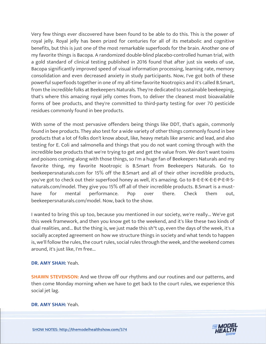Very few things ever discovered have been found to be able to do this. This is the power of royal jelly. Royal jelly has been prized for centuries for all of its metabolic and cognitive benefits, but this is just one of the most remarkable superfoods for the brain. Another one of my favorite things is Bacopa. A randomized double-blind placebo-controlled human trial, with a gold standard of clinical testing published in 2016 found that after just six weeks of use, Bacopa significantly improved speed of visual information processing, learning rate, memory consolidation and even decreased anxiety in study participants. Now, I've got both of these powerful superfoods together in one of my all-time favorite Nootropics and it's called B.Smart, from the incredible folks at Beekeepers Naturals. They're dedicated to sustainable beekeeping, that's where this amazing royal jelly comes from, to deliver the cleanest most bioavailable forms of bee products, and they're committed to third-party testing for over 70 pesticide residues commonly found in bee products.

With some of the most pervasive offenders being things like DDT, that's again, commonly found in bee products. They also test for a wide variety of other things commonly found in bee products that a lot of folks don't know about, like, heavy metals like arsenic and lead, and also testing for E. Coli and salmonella and things that you do not want coming through with the incredible bee products that we're trying to get and get the value from. We don't want toxins and poisons coming along with those things, so I'm a huge fan of Beekeepers Naturals and my favorite thing, my favorite Nootropic is B.Smart from Beekeepers Naturals. Go to beekeepersnaturals.com for 15% off the B.Smart and all of their other incredible products, you've got to check out their superfood honey as well, it's amazing. Go to B-E-E-K-E-E-P-E-R-Snaturals.com/model. They give you 15% off all of their incredible products. B.Smart is a musthave for mental performance. Pop over there. Check them out, beekeepersnaturals.com/model. Now, back to the show.

I wanted to bring this up too, because you mentioned in our society, we're really... We've got this week framework, and then you know get to the weekend, and it's like these two kinds of dual realities, and... But the thing is, we just made this sh\*t up, even the days of the week, it's a socially accepted agreement on how we structure things in society and what tends to happen is, we'll follow the rules, the court rules, social rules through the week, and the weekend comes around, it's just like, I'm free...

# **DR. AMY SHAH:** Yeah.

**SHAWN STEVENSON:** And we throw off our rhythms and our routines and our patterns, and then come Monday morning when we have to get back to the court rules, we experience this social jet lag.

**DR. AMY SHAH:** Yeah.

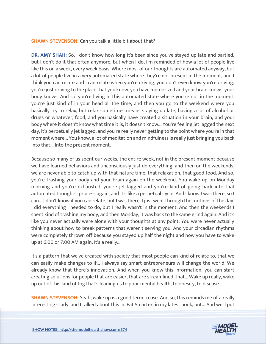#### **SHAWN STEVENSON:** Can you talk a little bit about that?

**DR. AMY SHAH:** So, I don't know how long it's been since you've stayed up late and partied, but I don't do it that often anymore, but when I do, I'm reminded of how a lot of people live like this on a week, every week basis. Where most of our thoughts are automated anyway, but a lot of people live in a very automated state where they're not present in the moment, and I think you can relate and I can relate when you're driving, you don't even know you're driving, you're just driving to the place that you know, you have memorized and your brain knows, your body knows. And so, you're living in this automated state where you're not in the moment, you're just kind of in your head all the time, and then you go to the weekend where you basically try to relax, but relax sometimes means staying up late, having a lot of alcohol or drugs or whatever, food, and you basically have created a situation in your brain, and your body where it doesn't know what time it is, it doesn't know... You're feeling jet lagged the next day, it's perpetually jet lagged, and you're really never getting to the point where you're in that moment where... You know, a lot of meditation and mindfulness is really just bringing you back into that... Into the present moment.

Because so many of us spent our weeks, the entire week, not in the present moment because we have learned behaviors and unconsciously just do everything, and then on the weekends, we are never able to catch up with that nature time, that relaxation, that good food. And so, you're trashing your body and your brain again on the weekend. You wake up on Monday morning and you're exhausted, you're jet lagged and you're kind of going back into that automated thoughts, process again, and it's like a perpetual cycle. And I know I was there, so I can... I don't know if you can relate, but I was there. I just went through the motions of the day, I did everything I needed to do, but I really wasn't in the moment. And then the weekends I spent kind of trashing my body, and then Monday, it was back to the same grind again. And it's like you never actually were alone with your thoughts at any point. You were never actually thinking about how to break patterns that weren't serving you. And your circadian rhythms were completely thrown off because you stayed up half the night and now you have to wake up at 6:00 or 7:00 AM again. It's a really...

It's a pattern that we've created with society that most people can kind of relate to, that we can easily make changes to if... I always say smart entrepreneurs will change the world. We already know that there's innovation. And when you know this information, you can start creating solutions for people that are easier, that are streamlined, that... Wake up really, wake up out of this kind of fog that's leading us to poor mental health, to obesity, to disease.

**SHAWN STEVENSON:** Yeah, wake up is a good term to use. And so, this reminds me of a really interesting study, and I talked about this in, Eat Smarter, in my latest book, but... And we'll put

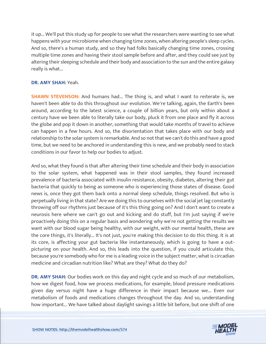it up... We'll put this study up for people to see what the researchers were wanting to see what happens with your microbiome when changing time zones, when altering people's sleep cycles. And so, there's a human study, and so they had folks basically changing time zones, crossing multiple time zones and having their stool sample before and after, and they could see just by altering their sleeping schedule and their body and association to the sun and the entire galaxy really is what...

# **DR. AMY SHAH:** Yeah.

**SHAWN STEVENSON:** And humans had... The thing is, and what I want to reiterate is, we haven't been able to do this throughout our evolution. We're talking, again, the Earth's been around, according to the latest science, a couple of billion years, but only within about a century have we been able to literally take our body, pluck it from one place and fly it across the globe and pop it down in another, something that would take months of travel to achieve can happen in a few hours. And so, the disorientation that takes place with our body and relationship to the solar system is remarkable. And so not that we can't do this and have a good time, but we need to be anchored in understanding this is new, and we probably need to stack conditions in our favor to help our bodies to adjust.

And so, what they found is that after altering their time schedule and their body in association to the solar system, what happened was in their stool samples, they found increased prevalence of bacteria associated with insulin resistance, obesity, diabetes, altering their gut bacteria that quickly to being as someone who is experiencing those states of disease. Good news is, once they got them back onto a normal sleep schedule, things resolved. But who is perpetually living in that state? Are we doing this to ourselves with the social jet lag constantly throwing off our rhythms just because of it's this thing going on? And I don't want to create a neurosis here where we can't go out and kicking and do stuff, but I'm just saying if we're proactively doing this on a regular basis and wondering why we're not getting the results we want with our blood sugar being healthy, with our weight, with our mental health, these are the core things, it's literally... It's not just, you're making this decision to do this thing. It is at its core, is affecting your gut bacteria like instantaneously, which is going to have a outpicturing on your health. And so, this leads into the question, if you could articulate this, because you're somebody who for me is a leading voice in the subject matter, what is circadian medicine and circadian nutrition like? What are they? What do they do?

**DR. AMY SHAH:** Our bodies work on this day and night cycle and so much of our metabolism, how we digest food, how we process medications, for example, blood pressure medications given day versus night have a huge difference in their impact because we... Even our metabolism of foods and medications changes throughout the day. And so, understanding how important... We have talked about daylight savings a little bit before, but one shift of one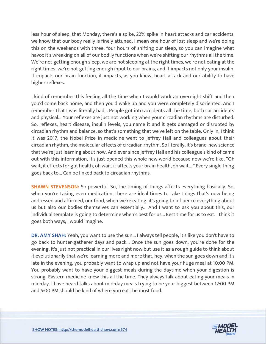less hour of sleep, that Monday, there's a spike, 22% spike in heart attacks and car accidents, we know that our body really is finely attuned. I mean one hour of lost sleep and we're doing this on the weekends with three, four hours of shifting our sleep, so you can imagine what havoc it's wreaking on all of our bodily functions when we're shifting our rhythms all the time. We're not getting enough sleep, we are not sleeping at the right times, we're not eating at the right times, we're not getting enough input to our brains, and it impacts not only your insulin, it impacts our brain function, it impacts, as you knew, heart attack and our ability to have higher reflexes.

I kind of remember this feeling all the time when I would work an overnight shift and then you'd come back home, and then you'd wake up and you were completely disoriented. And I remember that I was literally had... People got into accidents all the time, both car accidents and physical... Your reflexes are just not working when your circadian rhythms are disturbed. So, reflexes, heart disease, insulin levels, you name it and it gets damaged or disrupted by circadian rhythm and balance, so that's something that we've left on the table. Only in, I think it was 2017, the Nobel Prize in medicine went to Jeffrey Hall and colleagues about their circadian rhythm, the molecular effects of circadian rhythm. So literally, it's brand-new science that we're just learning about now. And ever since Jeffrey Hall and his colleague's kind of came out with this information, it's just opened this whole new world because now we're like, "Oh wait, it effects for gut health, oh wait, it affects your brain health, oh wait... " Every single thing goes back to... Can be linked back to circadian rhythms.

**SHAWN STEVENSON:** So powerful. So, the timing of things affects everything basically. So, when you're taking even medication, there are ideal times to take things that's now being addressed and affirmed, our food, when we're eating, it's going to influence everything about us but also our bodies themselves can essentially... And I want to ask you about this, our individual template is going to determine when's best for us... Best time for us to eat. I think it goes both ways; I would imagine.

**DR. AMY SHAH:** Yeah, you want to use the sun... I always tell people, it's like you don't have to go back to hunter-gatherer days and pack... Once the sun goes down, you're done for the evening. It's just not practical in our lives right now but use it as a rough guide to think about it evolutionarily that we're learning more and more that, hey, when the sun goes down and it's late in the evening, you probably want to wrap up and not have your huge meal at 10:00 PM. You probably want to have your biggest meals during the daytime when your digestion is strong. Eastern medicine knew this all the time. They always talk about eating your meals in mid-day. I have heard talks about mid-day meals trying to be your biggest between 12:00 PM and 5:00 PM should be kind of where you eat the most food.

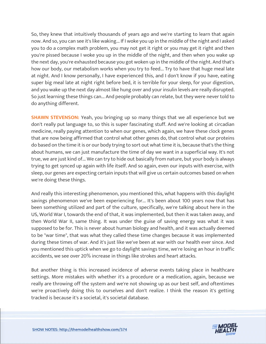So, they knew that intuitively thousands of years ago and we're starting to learn that again now. And so, you can see it's like waking... If I woke you up in the middle of the night and I asked you to do a complex math problem, you may not get it right or you may get it right and then you're pissed because I woke you up in the middle of the night, and then when you wake up the next day, you're exhausted because you got woken up in the middle of the night. And that's how our body, our metabolism works when you try to feed... Try to have that huge meal late at night. And I know personally, I have experienced this, and I don't know if you have, eating super big meal late at night right before bed, it is terrible for your sleep, for your digestion, and you wake up the next day almost like hung over and your insulin levels are really disrupted. So just learning these things can... And people probably can relate, but they were never told to do anything different.

**SHAWN STEVENSON:** Yeah, you bringing up so many things that we all experience but we don't really put language to, so this is super fascinating stuff. And we're looking at circadian medicine, really paying attention to when our genes, which again, we have these clock genes that are now being affirmed that control what other genes do, that control what our proteins do based on the time it is or our body trying to sort out what time it is, because that's the thing about humans, we can just manufacture the time of day we want in a superficial way. It's not true, we are just kind of... We can try to hide out basically from nature, but your body is always trying to get synced up again with life itself. And so again, even our inputs with exercise, with sleep, our genes are expecting certain inputs that will give us certain outcomes based on when we're doing these things.

And really this interesting phenomenon, you mentioned this, what happens with this daylight savings phenomenon we've been experiencing for... It's been about 100 years now that has been something utilized and part of the culture, specifically, we're talking about here in the US, World War I, towards the end of that, it was implemented, but then it was taken away, and then World War II, same thing. It was under the guise of saving energy was what it was supposed to be for. This is never about human biology and health, and it was actually deemed to be "war time", that was what they called these time changes because it was implemented during these times of war. And it's just like we've been at war with our health ever since. And you mentioned this uptick when we go to daylight savings time, we're losing an hour in traffic accidents, we see over 20% increase in things like strokes and heart attacks.

But another thing is this increased incidence of adverse events taking place in healthcare settings. More mistakes with whether it's a procedure or a medication, again, because we really are throwing off the system and we're not showing up as our best self, and oftentimes we're proactively doing this to ourselves and don't realize. I think the reason it's getting tracked is because it's a societal, it's societal database.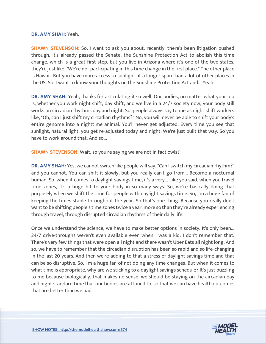#### **DR. AMY SHAH:** Yeah.

**SHAWN STEVENSON:** So, I want to ask you about, recently, there's been litigation pushed through, it's already passed the Senate, the Sunshine Protection Act to abolish this time change, which is a great first step, but you live in Arizona where it's one of the two states, they're just like, "We're not participating in this time change in the first place." The other place is Hawaii. But you have more access to sunlight at a longer span than a lot of other places in the US. So, I want to know your thoughts on the Sunshine Protection Act and... Yeah.

**DR. AMY SHAH:** Yeah, thanks for articulating it so well. Our bodies, no matter what your job is, whether you work night shift, day shift, and we live in a 24/7 society now, your body still works on circadian rhythms day and night. So, people always say to me as night shift workers like, "Oh, can I just shift my circadian rhythms?" No, you will never be able to shift your body's entire genome into a nighttime animal. You'll never get adjusted. Every time you see that sunlight, natural light, you get re-adjusted today and night. We're just built that way. So you have to work around that. And so...

**SHAWN STEVENSON:** Wait, so you're saying we are not in fact owls?

**DR. AMY SHAH:** Yes, we cannot switch like people will say, "Can I switch my circadian rhythm?" and you cannot. You can shift it slowly, but you really can't go from... Become a nocturnal human. So, when it comes to daylight savings time, it's a very... Like you said, when you travel time zones, it's a huge hit to your body in so many ways. So, we're basically doing that purposely when we shift the time for people with daylight savings time. So, I'm a huge fan of keeping the times stable throughout the year. So that's one thing. Because you really don't want to be shifting people's time zones twice a year, more so than they're already experiencing through travel, through disrupted circadian rhythms of their daily life.

Once we understand the science, we have to make better options in society. It's only been... 24/7 drive-throughs weren't even available even when I was a kid. I don't remember that. There's very few things that were open all night and there wasn't Uber Eats all night long. And so, we have to remember that the circadian disruption has been so rapid and so life-changing in the last 20 years. And then we're adding to that a stress of daylight savings time and that can be so disruptive. So, I'm a huge fan of not doing any time changes. But when it comes to what time is appropriate, why are we sticking to a daylight savings schedule? It's just puzzling to me because biologically, that makes no sense, we should be staying on the circadian day and night standard time that our bodies are attuned to, so that we can have health outcomes that are better than we had.

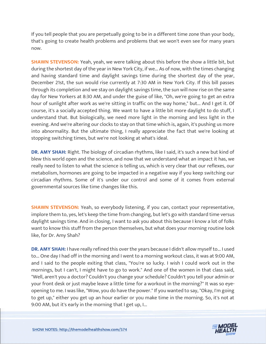If you tell people that you are perpetually going to be in a different time zone than your body, that's going to create health problems and problems that we won't even see for many years now.

**SHAWN STEVENSON:** Yeah, yeah, we were talking about this before the show a little bit, but during the shortest day of the year in New York City, if we... As of now, with the times changing and having standard time and daylight savings time during the shortest day of the year, December 21st, the sun would rise currently at 7:30 AM in New York City. If this bill passes through its completion and we stay on daylight savings time, the sun will now rise on the same day for New Yorkers at 8:30 AM, and under the guise of like, "Oh, we're going to get an extra hour of sunlight after work as we're sitting in traffic on the way home," but... And I get it. Of course, it's a socially accepted thing. We want to have a little bit more daylight to do stuff, I understand that. But biologically, we need more light in the morning and less light in the evening. And we're altering our clocks to stay on that time which is, again, it's pushing us more into abnormality. But the ultimate thing, I really appreciate the fact that we're looking at stopping switching times, but we're not looking at what's ideal.

**DR. AMY SHAH:** Right. The biology of circadian rhythms, like I said, it's such a new but kind of blew this world open and the science, and now that we understand what an impact it has, we really need to listen to what the science is telling us, which is very clear that our reflexes, our metabolism, hormones are going to be impacted in a negative way if you keep switching our circadian rhythms. Some of it's under our control and some of it comes from external governmental sources like time changes like this.

**SHAWN STEVENSON:** Yeah, so everybody listening, if you can, contact your representative, implore them to, yes, let's keep the time from changing, but let's go with standard time versus daylight savings time. And in closing, I want to ask you about this because I know a lot of folks want to know this stuff from the person themselves, but what does your morning routine look like, for Dr. Amy Shah?

**DR. AMY SHAH:** I have really refined this over the years because I didn't allow myself to... I used to... One day I had off in the morning and I went to a morning workout class, it was at 9:00 AM, and I said to the people exiting that class, "You're so lucky. I wish I could work out in the mornings, but I can't, I might have to go to work." And one of the women in that class said, "Well, aren't you a doctor? Couldn't you change your schedule? Couldn't you tell your admin or your front desk or just maybe leave a little time for a workout in the morning?" It was so eyeopening to me. I was like, "Wow, you do have the power." If you wanted to say, "Okay, I'm going to get up," either you get up an hour earlier or you make time in the morning. So, it's not at 9:00 AM, but it's early in the morning that I get up, I...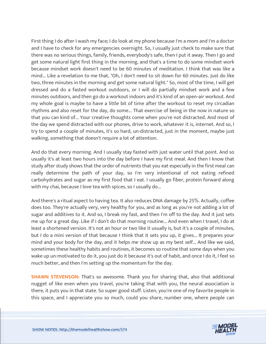First thing I do after I wash my face; I do look at my phone because I'm a mom and I'm a doctor and I have to check for any emergencies overnight. So, I usually just check to make sure that there was no serious things, family, friends, everybody's safe, then I put it away. Then I go and get some natural light first thing in the morning, and that's a time to do some mindset work because mindset work doesn't need to be 60 minutes of meditation. I think that was like a mind... Like a revelation to me that, "Oh, I don't need to sit down for 60 minutes. Just do like two, three minutes in the morning and get some natural light." So, most of the time, I will get dressed and do a fasted workout outdoors, or I will do partially mindset work and a few minutes outdoors, and then go do a workout indoors and it's kind of an open-air workout. And my whole goal is maybe to have a little bit of time after the workout to reset my circadian rhythms and also reset for the day, do some... That exercise of being in the now in nature so that you can kind of... Your creative thoughts come when you're not distracted. And most of the day we spend distracted with our phones, drive to work, whatever it is, internet. And so, I try to spend a couple of minutes, it's so hard, un-distracted, just in the moment, maybe just walking, something that doesn't require a lot of attention.

And do that every morning. And I usually stay fasted with just water until that point. And so usually it's at least two hours into the day before I have my first meal. And then I know that study after study shows that the order of nutrients that you eat especially in the first meal can really determine the path of your day, so I'm very intentional of not eating refined carbohydrates and sugar as my first food that I eat. I usually go fiber, protein forward along with my chai, because I love tea with spices, so I usually do...

And there's a ritual aspect to having tea. It also reduces DNA damage by 25%. Actually, coffee does too. They're actually very, very healthy for you, and as long as you're not adding a lot of sugar and additives to it. And so, I break my fast, and then I'm off to the day. And it just sets me up for a great day. Like if I don't do that morning routine... And even when I travel, I do at least a shortened version. It's not an hour or two like it usually is, but it's a couple of minutes, but I do a mini version of that because I think that it sets you up, it gives... It prepares your mind and your body for the day, and it helps me show up as my best self... And like we said, sometimes these healthy habits and routines, it becomes so routine that some days when you wake up un-motivated to do it, you just do it because it's out of habit, and once I do it, I feel so much better, and then I'm setting up the momentum for the day.

**SHAWN STEVENSON:** That's so awesome. Thank you for sharing that, also that additional nugget of like even when you travel, you're taking that with you, the neural association is there, it puts you in that state. So super good stuff. Listen, you're one of my favorite people in this space, and I appreciate you so much, could you share, number one, where people can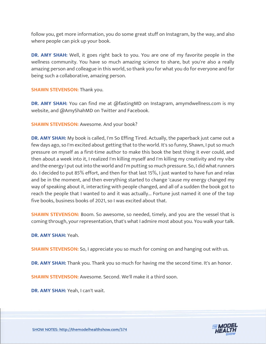follow you, get more information, you do some great stuff on Instagram, by the way, and also where people can pick up your book.

**DR. AMY SHAH:** Well, it goes right back to you. You are one of my favorite people in the wellness community. You have so much amazing science to share, but you're also a really amazing person and colleague in this world, so thank you for what you do for everyone and for being such a collaborative, amazing person.

**SHAWN STEVENSON: Thank you.** 

**DR. AMY SHAH:** You can find me at @fastingMD on Instagram, amymdwellness.com is my website, and @AmyShahMD on Twitter and Facebook.

**SHAWN STEVENSON:** Awesome. And your book?

**DR. AMY SHAH:** My book is called, I'm So Effing Tired. Actually, the paperback just came out a few days ago, so I'm excited about getting that to the world. It's so funny, Shawn, I put so much pressure on myself as a first-time author to make this book the best thing it ever could, and then about a week into it, I realized I'm killing myself and I'm killing my creativity and my vibe and the energy I put out into the world and I'm putting so much pressure. So, I did what runners do. I decided to put 85% effort, and then for that last 15%, I just wanted to have fun and relax and be in the moment, and then everything started to change 'cause my energy changed my way of speaking about it, interacting with people changed, and all of a sudden the book got to reach the people that I wanted to and it was actually... Fortune just named it one of the top five books, business books of 2021, so I was excited about that.

**SHAWN STEVENSON:** Boom. So awesome, so needed, timely, and you are the vessel that is coming through, your representation, that's what I admire most about you. You walk your talk.

**DR. AMY SHAH:** Yeah.

**SHAWN STEVENSON:** So, I appreciate you so much for coming on and hanging out with us.

**DR. AMY SHAH:** Thank you. Thank you so much for having me the second time. It's an honor.

**SHAWN STEVENSON:** Awesome. Second. We'll make it a third soon.

**DR. AMY SHAH:** Yeah, I can't wait.